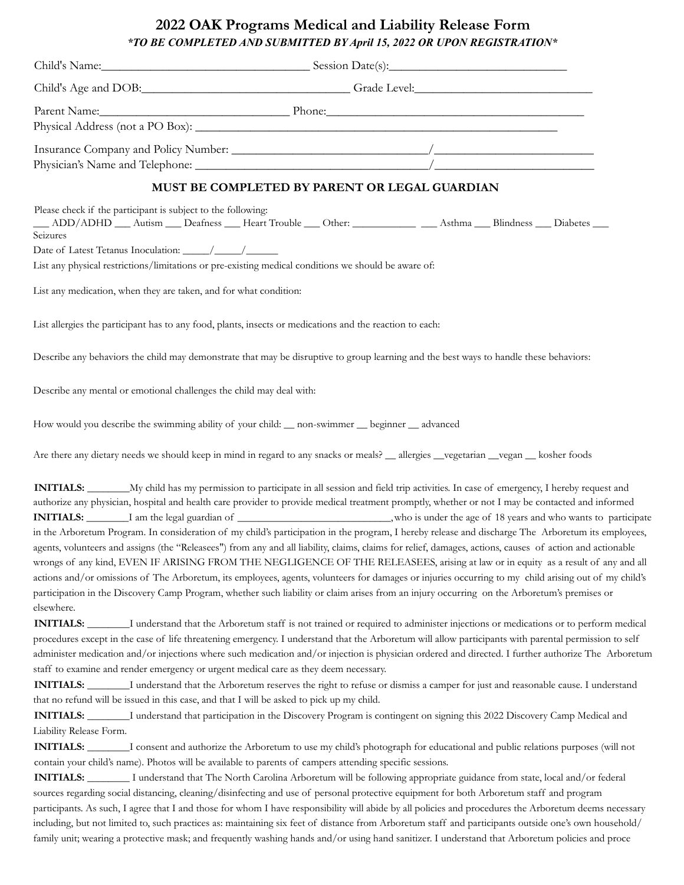## **2022 OAK Programs Medical and Liability Release Form** *\*TO BE COMPLETED AND SUBMITTED BY April 15, 2022 OR UPON REGISTRATION\**

|                                                                                           | Child's Name: Session Date(s):                                                                                                                                                                                                                                                                                                                                                                                                                                                                                                                                                                                                                                                                                                                                                                                                                                                                                                                                                                                                                                      |
|-------------------------------------------------------------------------------------------|---------------------------------------------------------------------------------------------------------------------------------------------------------------------------------------------------------------------------------------------------------------------------------------------------------------------------------------------------------------------------------------------------------------------------------------------------------------------------------------------------------------------------------------------------------------------------------------------------------------------------------------------------------------------------------------------------------------------------------------------------------------------------------------------------------------------------------------------------------------------------------------------------------------------------------------------------------------------------------------------------------------------------------------------------------------------|
|                                                                                           | Child's Age and DOB: Grade Level: Grade Level:                                                                                                                                                                                                                                                                                                                                                                                                                                                                                                                                                                                                                                                                                                                                                                                                                                                                                                                                                                                                                      |
|                                                                                           | Parent Name: Phone: Phone: Phone: Phone: Phone: Phone: Phone: Phone: Phone: Phone: Phone: Phone: Phone: Phone: Phone: Phone: Phone: Phone: Phone: Phone: Phone: Phone: Phone: Phone: Phone: Phone: Phone: Phone: Phone: Phone:                                                                                                                                                                                                                                                                                                                                                                                                                                                                                                                                                                                                                                                                                                                                                                                                                                      |
|                                                                                           |                                                                                                                                                                                                                                                                                                                                                                                                                                                                                                                                                                                                                                                                                                                                                                                                                                                                                                                                                                                                                                                                     |
|                                                                                           |                                                                                                                                                                                                                                                                                                                                                                                                                                                                                                                                                                                                                                                                                                                                                                                                                                                                                                                                                                                                                                                                     |
|                                                                                           | MUST BE COMPLETED BY PARENT OR LEGAL GUARDIAN                                                                                                                                                                                                                                                                                                                                                                                                                                                                                                                                                                                                                                                                                                                                                                                                                                                                                                                                                                                                                       |
| Please check if the participant is subject to the following:<br>Seizures                  | __ ADD/ADHD __ Autism __ Deafness __ Heart Trouble __ Other: ________ __ Asthma __ Blindness __ Diabetes __                                                                                                                                                                                                                                                                                                                                                                                                                                                                                                                                                                                                                                                                                                                                                                                                                                                                                                                                                         |
|                                                                                           |                                                                                                                                                                                                                                                                                                                                                                                                                                                                                                                                                                                                                                                                                                                                                                                                                                                                                                                                                                                                                                                                     |
|                                                                                           | List any physical restrictions/limitations or pre-existing medical conditions we should be aware of:                                                                                                                                                                                                                                                                                                                                                                                                                                                                                                                                                                                                                                                                                                                                                                                                                                                                                                                                                                |
| List any medication, when they are taken, and for what condition:                         |                                                                                                                                                                                                                                                                                                                                                                                                                                                                                                                                                                                                                                                                                                                                                                                                                                                                                                                                                                                                                                                                     |
|                                                                                           | List allergies the participant has to any food, plants, insects or medications and the reaction to each:                                                                                                                                                                                                                                                                                                                                                                                                                                                                                                                                                                                                                                                                                                                                                                                                                                                                                                                                                            |
|                                                                                           | Describe any behaviors the child may demonstrate that may be disruptive to group learning and the best ways to handle these behaviors:                                                                                                                                                                                                                                                                                                                                                                                                                                                                                                                                                                                                                                                                                                                                                                                                                                                                                                                              |
| Describe any mental or emotional challenges the child may deal with:                      |                                                                                                                                                                                                                                                                                                                                                                                                                                                                                                                                                                                                                                                                                                                                                                                                                                                                                                                                                                                                                                                                     |
|                                                                                           | How would you describe the swimming ability of your child: __ non-swimmer __ beginner __ advanced                                                                                                                                                                                                                                                                                                                                                                                                                                                                                                                                                                                                                                                                                                                                                                                                                                                                                                                                                                   |
|                                                                                           | Are there any dietary needs we should keep in mind in regard to any snacks or meals? __ allergies __vegetarian __vegan __ kosher foods                                                                                                                                                                                                                                                                                                                                                                                                                                                                                                                                                                                                                                                                                                                                                                                                                                                                                                                              |
| elsewhere.                                                                                | INITIALS: _________My child has my permission to participate in all session and field trip activities. In case of emergency, I hereby request and<br>authorize any physician, hospital and health care provider to provide medical treatment promptly, whether or not I may be contacted and informed<br>in the Arboretum Program. In consideration of my child's participation in the program, I hereby release and discharge The Arboretum its employees,<br>agents, volunteers and assigns (the "Releasees") from any and all liability, claims, claims for relief, damages, actions, causes of action and actionable<br>wrongs of any kind, EVEN IF ARISING FROM THE NEGLIGENCE OF THE RELEASEES, arising at law or in equity as a result of any and all<br>actions and/or omissions of The Arboretum, its employees, agents, volunteers for damages or injuries occurring to my child arising out of my child's<br>participation in the Discovery Camp Program, whether such liability or claim arises from an injury occurring on the Arboretum's premises or |
|                                                                                           | INITIALS: ________I understand that the Arboretum staff is not trained or required to administer injections or medications or to perform medical                                                                                                                                                                                                                                                                                                                                                                                                                                                                                                                                                                                                                                                                                                                                                                                                                                                                                                                    |
|                                                                                           | procedures except in the case of life threatening emergency. I understand that the Arboretum will allow participants with parental permission to self<br>administer medication and/or injections where such medication and/or injection is physician ordered and directed. I further authorize The Arboretum<br>staff to examine and render emergency or urgent medical care as they deem necessary.                                                                                                                                                                                                                                                                                                                                                                                                                                                                                                                                                                                                                                                                |
|                                                                                           | INITIALS: I understand that the Arboretum reserves the right to refuse or dismiss a camper for just and reasonable cause. I understand                                                                                                                                                                                                                                                                                                                                                                                                                                                                                                                                                                                                                                                                                                                                                                                                                                                                                                                              |
| that no refund will be issued in this case, and that I will be asked to pick up my child. |                                                                                                                                                                                                                                                                                                                                                                                                                                                                                                                                                                                                                                                                                                                                                                                                                                                                                                                                                                                                                                                                     |
|                                                                                           | INITIALS: I understand that participation in the Discovery Program is contingent on signing this 2022 Discovery Camp Medical and                                                                                                                                                                                                                                                                                                                                                                                                                                                                                                                                                                                                                                                                                                                                                                                                                                                                                                                                    |
| Liability Release Form.                                                                   | INITIALS: ________I consent and authorize the Arboretum to use my child's photograph for educational and public relations purposes (will not<br>contain your child's name). Photos will be available to parents of campers attending specific sessions.                                                                                                                                                                                                                                                                                                                                                                                                                                                                                                                                                                                                                                                                                                                                                                                                             |

**INITIALS:** \_\_\_\_\_\_\_\_ I understand that The North Carolina Arboretum will be following appropriate guidance from state, local and/or federal sources regarding social distancing, cleaning/disinfecting and use of personal protective equipment for both Arboretum staff and program participants. As such, I agree that I and those for whom I have responsibility will abide by all policies and procedures the Arboretum deems necessary including, but not limited to, such practices as: maintaining six feet of distance from Arboretum staff and participants outside one's own household/ family unit; wearing a protective mask; and frequently washing hands and/or using hand sanitizer. I understand that Arboretum policies and proce